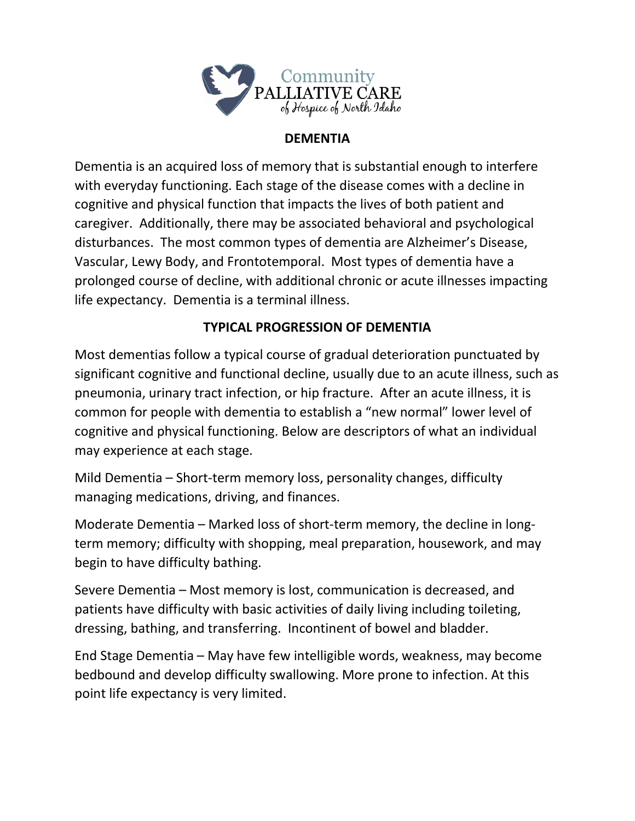

## **DEMENTIA**

Dementia is an acquired loss of memory that is substantial enough to interfere with everyday functioning. Each stage of the disease comes with a decline in cognitive and physical function that impacts the lives of both patient and caregiver. Additionally, there may be associated behavioral and psychological disturbances. The most common types of dementia are Alzheimer's Disease, Vascular, Lewy Body, and Frontotemporal. Most types of dementia have a prolonged course of decline, with additional chronic or acute illnesses impacting life expectancy. Dementia is a terminal illness.

# **TYPICAL PROGRESSION OF DEMENTIA**

Most dementias follow a typical course of gradual deterioration punctuated by significant cognitive and functional decline, usually due to an acute illness, such as pneumonia, urinary tract infection, or hip fracture. After an acute illness, it is common for people with dementia to establish a "new normal" lower level of cognitive and physical functioning. Below are descriptors of what an individual may experience at each stage.

Mild Dementia – Short-term memory loss, personality changes, difficulty managing medications, driving, and finances.

Moderate Dementia – Marked loss of short-term memory, the decline in longterm memory; difficulty with shopping, meal preparation, housework, and may begin to have difficulty bathing.

Severe Dementia – Most memory is lost, communication is decreased, and patients have difficulty with basic activities of daily living including toileting, dressing, bathing, and transferring. Incontinent of bowel and bladder.

End Stage Dementia – May have few intelligible words, weakness, may become bedbound and develop difficulty swallowing. More prone to infection. At this point life expectancy is very limited.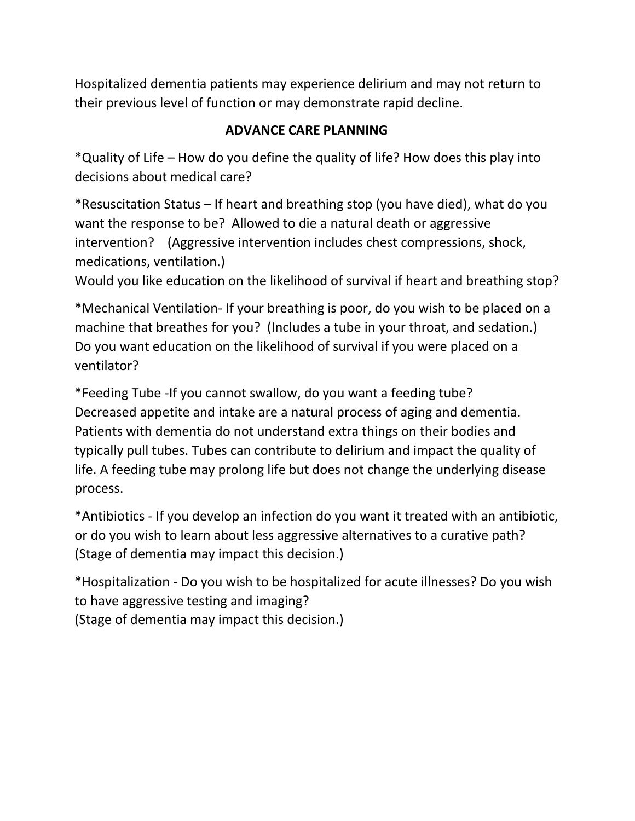Hospitalized dementia patients may experience delirium and may not return to their previous level of function or may demonstrate rapid decline.

# **ADVANCE CARE PLANNING**

\*Quality of Life – How do you define the quality of life? How does this play into decisions about medical care?

\*Resuscitation Status – If heart and breathing stop (you have died), what do you want the response to be? Allowed to die a natural death or aggressive intervention? (Aggressive intervention includes chest compressions, shock, medications, ventilation.)

Would you like education on the likelihood of survival if heart and breathing stop?

\*Mechanical Ventilation- If your breathing is poor, do you wish to be placed on a machine that breathes for you? (Includes a tube in your throat, and sedation.) Do you want education on the likelihood of survival if you were placed on a ventilator?

\*Feeding Tube -If you cannot swallow, do you want a feeding tube? Decreased appetite and intake are a natural process of aging and dementia. Patients with dementia do not understand extra things on their bodies and typically pull tubes. Tubes can contribute to delirium and impact the quality of life. A feeding tube may prolong life but does not change the underlying disease process.

\*Antibiotics - If you develop an infection do you want it treated with an antibiotic, or do you wish to learn about less aggressive alternatives to a curative path? (Stage of dementia may impact this decision.)

\*Hospitalization - Do you wish to be hospitalized for acute illnesses? Do you wish to have aggressive testing and imaging? (Stage of dementia may impact this decision.)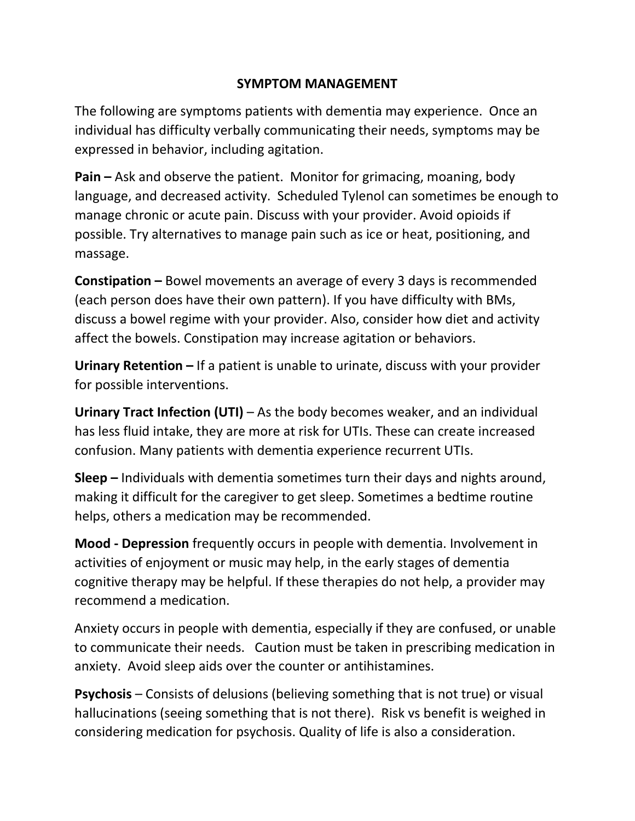## **SYMPTOM MANAGEMENT**

The following are symptoms patients with dementia may experience. Once an individual has difficulty verbally communicating their needs, symptoms may be expressed in behavior, including agitation.

**Pain –** Ask and observe the patient. Monitor for grimacing, moaning, body language, and decreased activity. Scheduled Tylenol can sometimes be enough to manage chronic or acute pain. Discuss with your provider. Avoid opioids if possible. Try alternatives to manage pain such as ice or heat, positioning, and massage.

**Constipation –** Bowel movements an average of every 3 days is recommended (each person does have their own pattern). If you have difficulty with BMs, discuss a bowel regime with your provider. Also, consider how diet and activity affect the bowels. Constipation may increase agitation or behaviors.

**Urinary Retention –** If a patient is unable to urinate, discuss with your provider for possible interventions.

**Urinary Tract Infection (UTI)** – As the body becomes weaker, and an individual has less fluid intake, they are more at risk for UTIs. These can create increased confusion. Many patients with dementia experience recurrent UTIs.

**Sleep –** Individuals with dementia sometimes turn their days and nights around, making it difficult for the caregiver to get sleep. Sometimes a bedtime routine helps, others a medication may be recommended.

**Mood - Depression** frequently occurs in people with dementia. Involvement in activities of enjoyment or music may help, in the early stages of dementia cognitive therapy may be helpful. If these therapies do not help, a provider may recommend a medication.

Anxiety occurs in people with dementia, especially if they are confused, or unable to communicate their needs. Caution must be taken in prescribing medication in anxiety. Avoid sleep aids over the counter or antihistamines.

**Psychosis** – Consists of delusions (believing something that is not true) or visual hallucinations (seeing something that is not there). Risk vs benefit is weighed in considering medication for psychosis. Quality of life is also a consideration.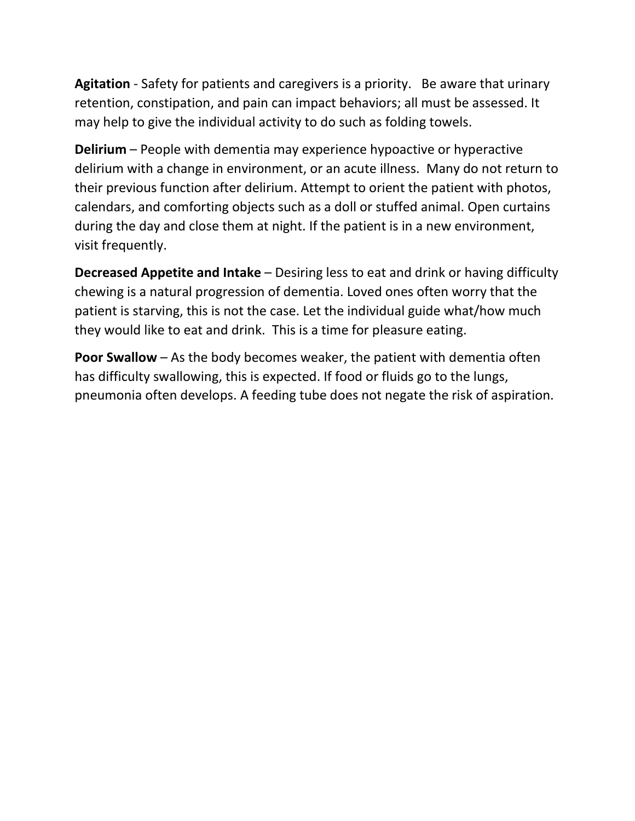**Agitation** - Safety for patients and caregivers is a priority. Be aware that urinary retention, constipation, and pain can impact behaviors; all must be assessed. It may help to give the individual activity to do such as folding towels.

**Delirium** – People with dementia may experience hypoactive or hyperactive delirium with a change in environment, or an acute illness. Many do not return to their previous function after delirium. Attempt to orient the patient with photos, calendars, and comforting objects such as a doll or stuffed animal. Open curtains during the day and close them at night. If the patient is in a new environment, visit frequently.

**Decreased Appetite and Intake** – Desiring less to eat and drink or having difficulty chewing is a natural progression of dementia. Loved ones often worry that the patient is starving, this is not the case. Let the individual guide what/how much they would like to eat and drink. This is a time for pleasure eating.

**Poor Swallow** – As the body becomes weaker, the patient with dementia often has difficulty swallowing, this is expected. If food or fluids go to the lungs, pneumonia often develops. A feeding tube does not negate the risk of aspiration.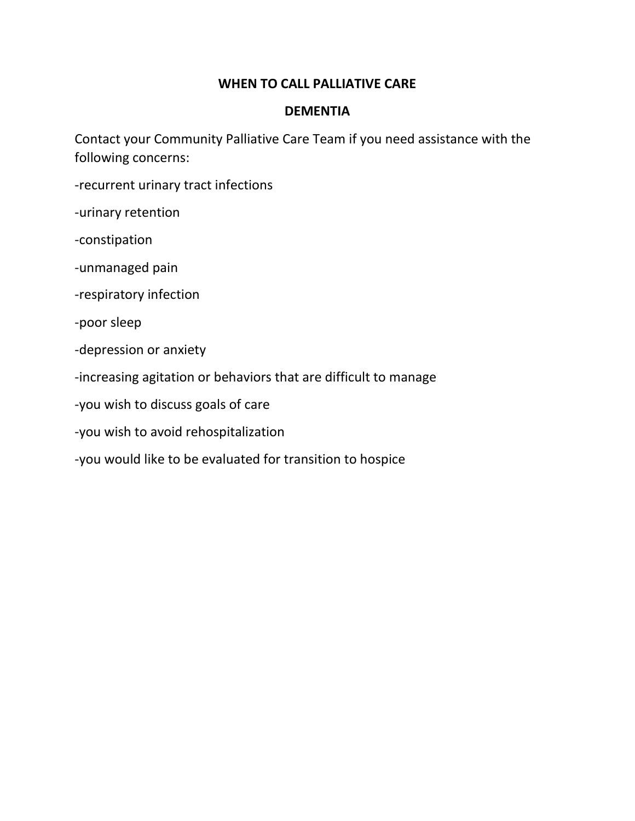### **WHEN TO CALL PALLIATIVE CARE**

#### **DEMENTIA**

Contact your Community Palliative Care Team if you need assistance with the following concerns:

- -recurrent urinary tract infections
- -urinary retention
- -constipation
- -unmanaged pain
- -respiratory infection
- -poor sleep
- -depression or anxiety
- -increasing agitation or behaviors that are difficult to manage
- -you wish to discuss goals of care
- -you wish to avoid rehospitalization
- -you would like to be evaluated for transition to hospice